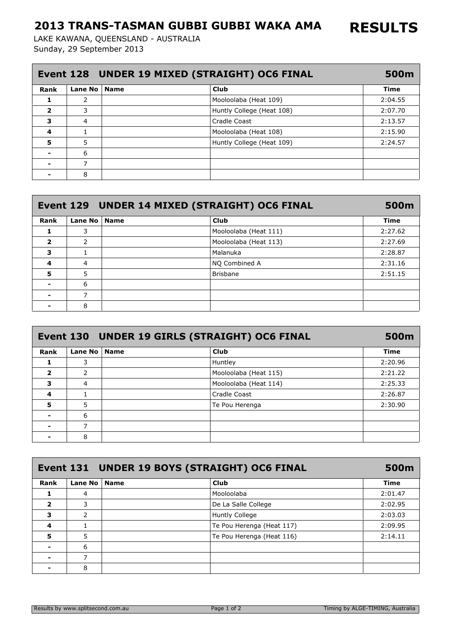## 2013 TRANS-TASMAN GUBBI GUBBI WAKA AMA

Sunday, 29 September 2013 LAKE KAWANA, QUEENSLAND - AUSTRALIA

| Event 128 UNDER 19 MIXED (STRAIGHT) OC6 FINAL |                |             |                           | 500m    |
|-----------------------------------------------|----------------|-------------|---------------------------|---------|
| Rank                                          | Lane No        | <b>Name</b> | <b>Club</b>               | Time    |
|                                               | 2              |             | Mooloolaba (Heat 109)     | 2:04.55 |
| $\overline{\mathbf{2}}$                       | 3              |             | Huntly College (Heat 108) | 2:07.70 |
| 3                                             | $\overline{4}$ |             | Cradle Coast              | 2:13.57 |
| $\overline{\mathbf{4}}$                       |                |             | Mooloolaba (Heat 108)     | 2:15.90 |
| 5                                             | 5              |             | Huntly College (Heat 109) | 2:24.57 |
|                                               | 6              |             |                           |         |
|                                               |                |             |                           |         |
|                                               | 8              |             |                           |         |

|                         |                | Event 129 UNDER 14 MIXED (STRAIGHT) OC6 FINAL | 500m        |
|-------------------------|----------------|-----------------------------------------------|-------------|
| Rank                    | Lane No   Name | <b>Club</b>                                   | <b>Time</b> |
|                         | 3              | Mooloolaba (Heat 111)                         | 2:27.62     |
| $\overline{\mathbf{2}}$ | 2              | Mooloolaba (Heat 113)                         | 2:27.69     |
| 3                       |                | Malanuka                                      | 2:28.87     |
| 4                       | 4              | NO Combined A                                 | 2:31.16     |
| 5                       | 5              | <b>Brisbane</b>                               | 2:51.15     |
|                         | 6              |                                               |             |
| $\blacksquare$          |                |                                               |             |
|                         | 8              |                                               |             |

| Event 130 UNDER 19 GIRLS (STRAIGHT) OC6 FINAL |                |  |                       |             |
|-----------------------------------------------|----------------|--|-----------------------|-------------|
| Rank                                          | Lane No   Name |  | <b>Club</b>           | <b>Time</b> |
|                                               | 3              |  | Huntley               | 2:20.96     |
| $\overline{\mathbf{2}}$                       | 2              |  | Mooloolaba (Heat 115) | 2:21.22     |
| 3                                             | 4              |  | Mooloolaba (Heat 114) | 2:25.33     |
| 4                                             |                |  | Cradle Coast          | 2:26.87     |
| 5                                             | 5              |  | Te Pou Herenga        | 2:30.90     |
|                                               | 6              |  |                       |             |
| -                                             |                |  |                       |             |
|                                               | 8              |  |                       |             |

| Event 131 UNDER 19 BOYS (STRAIGHT) OC6 FINAL |                |  |                           |         |
|----------------------------------------------|----------------|--|---------------------------|---------|
| Rank                                         | Lane No   Name |  | <b>Club</b>               | Time    |
|                                              | 4              |  | Mooloolaba                | 2:01.47 |
| $\overline{\mathbf{2}}$                      | 3              |  | De La Salle College       | 2:02.95 |
| 3                                            | 2              |  | <b>Huntly College</b>     | 2:03.03 |
| 4                                            |                |  | Te Pou Herenga (Heat 117) | 2:09.95 |
| 5                                            | 5              |  | Te Pou Herenga (Heat 116) | 2:14.11 |
|                                              | 6              |  |                           |         |
|                                              |                |  |                           |         |
|                                              | 8              |  |                           |         |

RESULTS